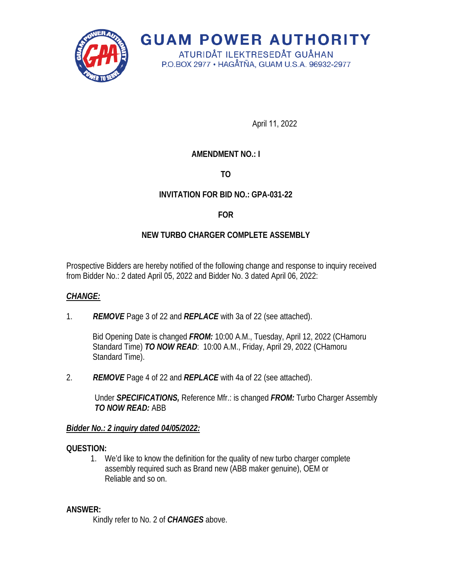

**GUAM POWER AUTHORITY** ATURIDÅT ILEKTRESEDÅT GUÅHAN

P.O.BOX 2977 · HAGÅTÑA, GUAM U.S.A. 96932-2977

April 11, 2022

# **AMENDMENT NO.: I**

**TO**

# **INVITATION FOR BID NO.: GPA-031-22**

#### **FOR**

## **NEW TURBO CHARGER COMPLETE ASSEMBLY**

Prospective Bidders are hereby notified of the following change and response to inquiry received from Bidder No.: 2 dated April 05, 2022 and Bidder No. 3 dated April 06, 2022:

#### *CHANGE:*

1. *REMOVE* Page 3 of 22 and *REPLACE* with 3a of 22 (see attached).

Bid Opening Date is changed *FROM:* 10:00 A.M., Tuesday, April 12, 2022 (CHamoru Standard Time) *TO NOW READ*: 10:00 A.M., Friday, April 29, 2022 (CHamoru Standard Time).

2. *REMOVE* Page 4 of 22 and *REPLACE* with 4a of 22 (see attached).

Under *SPECIFICATIONS,* Reference Mfr.: is changed *FROM:* Turbo Charger Assembly *TO NOW READ:* ABB

#### *Bidder No.: 2 inquiry dated 04/05/2022:*

#### **QUESTION:**

1. We'd like to know the definition for the quality of new turbo charger complete assembly required such as Brand new (ABB maker genuine), OEM or Reliable and so on.

#### **ANSWER:**

Kindly refer to No. 2 of *CHANGES* above.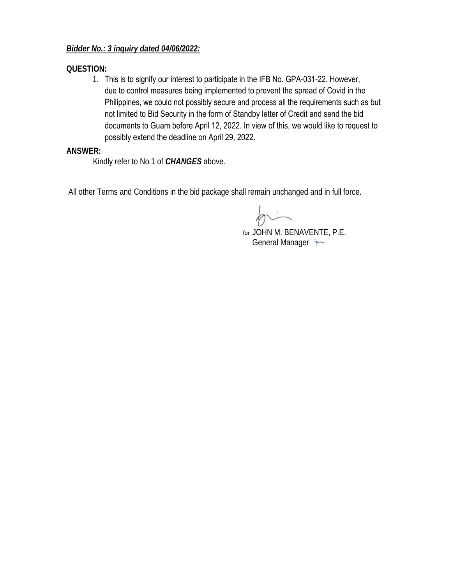### *Bidder No.: 3 inquiry dated 04/06/2022:*

#### **QUESTION:**

1. This is to signify our interest to participate in the IFB No. GPA-031-22. However, due to control measures being implemented to prevent the spread of Covid in the Philippines, we could not possibly secure and process all the requirements such as but not limited to Bid Security in the form of Standby letter of Credit and send the bid documents to Guam before April 12, 2022. In view of this, we would like to request to possibly extend the deadline on April 29, 2022.

#### **ANSWER:**

Kindly refer to No.1 of *CHANGES* above.

All other Terms and Conditions in the bid package shall remain unchanged and in full force.

JOHN M. BENAVENTE, P.E. forGeneral Manager  $\sim$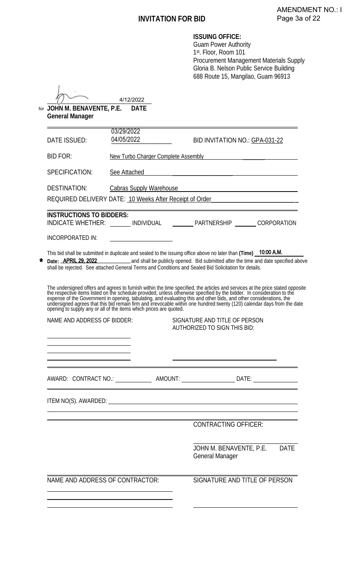J.

| ISSUING OFFICE: |  |
|-----------------|--|
|-----------------|--|

Guam Power Authority 1st. Floor, Room 101 Procurement Management Materials Supply Gloria B. Nelson Public Service Building 688 Route 15, Mangilao, Guam 96913

|                                                       | 4/12/2022                                                          |                                                                                                                                                                                                                                                                                                                                                  |  |  |  |
|-------------------------------------------------------|--------------------------------------------------------------------|--------------------------------------------------------------------------------------------------------------------------------------------------------------------------------------------------------------------------------------------------------------------------------------------------------------------------------------------------|--|--|--|
| for JOHN M. BENAVENTE, P.E.<br><b>General Manager</b> | <b>DATE</b>                                                        |                                                                                                                                                                                                                                                                                                                                                  |  |  |  |
| DATE ISSUED:                                          | 03/29/2022<br>04/05/2022                                           | BID INVITATION NO.: GPA-031-22                                                                                                                                                                                                                                                                                                                   |  |  |  |
| <b>BID FOR:</b>                                       |                                                                    | New Turbo Charger Complete Assembly The Turbo Charger Complete Assembly                                                                                                                                                                                                                                                                          |  |  |  |
| SPECIFICATION:                                        | See Attached                                                       |                                                                                                                                                                                                                                                                                                                                                  |  |  |  |
| <b>DESTINATION:</b>                                   |                                                                    |                                                                                                                                                                                                                                                                                                                                                  |  |  |  |
|                                                       |                                                                    | REQUIRED DELIVERY DATE: 10 Weeks After Receipt of Order_________________________                                                                                                                                                                                                                                                                 |  |  |  |
| <b>INSTRUCTIONS TO BIDDERS:</b>                       |                                                                    | INDICATE WHETHER: _______ INDIVIDUAL _________ PARTNERSHIP _______ CORPORATION                                                                                                                                                                                                                                                                   |  |  |  |
| INCORPORATED IN:                                      | <u> 1989 - Johann Barbara, martin a</u>                            |                                                                                                                                                                                                                                                                                                                                                  |  |  |  |
|                                                       |                                                                    | This bid shall be submitted in duplicate and sealed to the issuing office above no later than (Time) 10:00 A.M.<br>Date: <b>APRIL 29, 2022</b> 2021 and shall be publicly opened. Bid submitted after the time and date specified above<br>shall be rejected. See attached General Terms and Conditions and Sealed Bid Solicitation for details. |  |  |  |
|                                                       | opening to supply any or all of the items which prices are quoted. | The undersigned offers and agrees to furnish within the time specified, the articles and services at the price stated opposite the respective items listed on the schedule provided, unless otherwise specified by the bidder.                                                                                                                   |  |  |  |
| NAME AND ADDRESS OF BIDDER:                           |                                                                    | SIGNATURE AND TITLE OF PERSON<br><b>AUTHORIZED TO SIGN THIS BID:</b>                                                                                                                                                                                                                                                                             |  |  |  |
|                                                       |                                                                    |                                                                                                                                                                                                                                                                                                                                                  |  |  |  |
|                                                       |                                                                    | AWARD: CONTRACT NO.:________________AMOUNT: _____________________DATE: __________                                                                                                                                                                                                                                                                |  |  |  |
|                                                       |                                                                    | ITEM NO(S). AWARDED: University of the series of the series of the series of the series of the series of the series of the series of the series of the series of the series of the series of the series of the series of the s                                                                                                                   |  |  |  |
|                                                       |                                                                    | <b>CONTRACTING OFFICER:</b>                                                                                                                                                                                                                                                                                                                      |  |  |  |
|                                                       |                                                                    | JOHN M. BENAVENTE, P.E. DATE<br>General Manager                                                                                                                                                                                                                                                                                                  |  |  |  |
| NAME AND ADDRESS OF CONTRACTOR:                       |                                                                    | SIGNATURE AND TITLE OF PERSON                                                                                                                                                                                                                                                                                                                    |  |  |  |
|                                                       |                                                                    |                                                                                                                                                                                                                                                                                                                                                  |  |  |  |
|                                                       |                                                                    |                                                                                                                                                                                                                                                                                                                                                  |  |  |  |